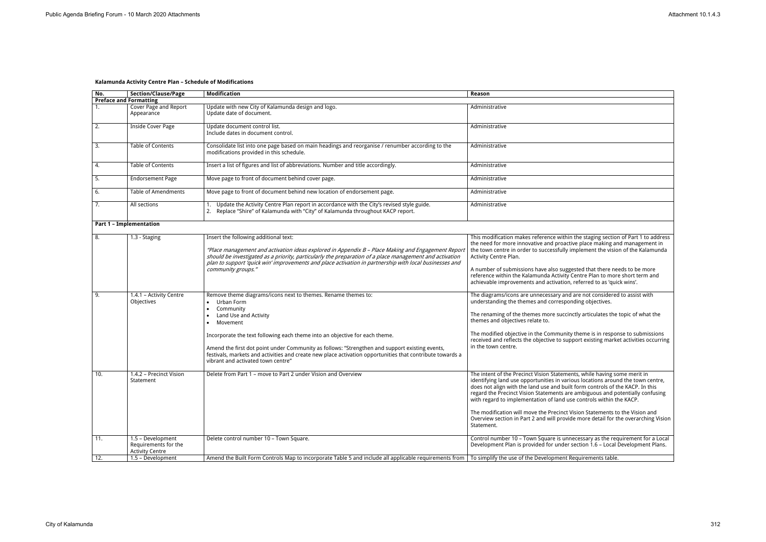## **Kalamunda Activity Centre Plan – Schedule of Modifications**

| No. | <b>Section/Clause/Page</b>                                          | <b>Modification</b>                                                                                                                                                                                                                                                                                                                                                                                                                                                            | Reason                                                                                                                                                                                                                                                                                                                                                                                                                                                                                                                                                                                  |
|-----|---------------------------------------------------------------------|--------------------------------------------------------------------------------------------------------------------------------------------------------------------------------------------------------------------------------------------------------------------------------------------------------------------------------------------------------------------------------------------------------------------------------------------------------------------------------|-----------------------------------------------------------------------------------------------------------------------------------------------------------------------------------------------------------------------------------------------------------------------------------------------------------------------------------------------------------------------------------------------------------------------------------------------------------------------------------------------------------------------------------------------------------------------------------------|
|     | <b>Preface and Formatting</b>                                       |                                                                                                                                                                                                                                                                                                                                                                                                                                                                                |                                                                                                                                                                                                                                                                                                                                                                                                                                                                                                                                                                                         |
| 1.  | Cover Page and Report<br>Appearance                                 | Update with new City of Kalamunda design and logo.<br>Update date of document.                                                                                                                                                                                                                                                                                                                                                                                                 | Administrative                                                                                                                                                                                                                                                                                                                                                                                                                                                                                                                                                                          |
| 2.  | <b>Inside Cover Page</b>                                            | Update document control list.<br>Include dates in document control.                                                                                                                                                                                                                                                                                                                                                                                                            | Administrative                                                                                                                                                                                                                                                                                                                                                                                                                                                                                                                                                                          |
| 3.  | Table of Contents                                                   | Consolidate list into one page based on main headings and reorganise / renumber according to the<br>modifications provided in this schedule.                                                                                                                                                                                                                                                                                                                                   | Administrative                                                                                                                                                                                                                                                                                                                                                                                                                                                                                                                                                                          |
| 4.  | Table of Contents                                                   | Insert a list of figures and list of abbreviations. Number and title accordingly.                                                                                                                                                                                                                                                                                                                                                                                              | Administrative                                                                                                                                                                                                                                                                                                                                                                                                                                                                                                                                                                          |
| 5.  | <b>Endorsement Page</b>                                             | Move page to front of document behind cover page.                                                                                                                                                                                                                                                                                                                                                                                                                              | Administrative                                                                                                                                                                                                                                                                                                                                                                                                                                                                                                                                                                          |
| 6.  | <b>Table of Amendments</b>                                          | Move page to front of document behind new location of endorsement page.                                                                                                                                                                                                                                                                                                                                                                                                        | Administrative                                                                                                                                                                                                                                                                                                                                                                                                                                                                                                                                                                          |
| 7.  | All sections                                                        | Update the Activity Centre Plan report in accordance with the City's revised style guide.<br>2. Replace "Shire" of Kalamunda with "City" of Kalamunda throughout KACP report.                                                                                                                                                                                                                                                                                                  | Administrative                                                                                                                                                                                                                                                                                                                                                                                                                                                                                                                                                                          |
|     | <b>Part 1 - Implementation</b>                                      |                                                                                                                                                                                                                                                                                                                                                                                                                                                                                |                                                                                                                                                                                                                                                                                                                                                                                                                                                                                                                                                                                         |
| 8.  | 1.3 - Staging                                                       | Insert the following additional text:<br>"Place management and activation ideas explored in Appendix B - Place Making and Engagement Report<br>should be investigated as a priority, particularly the preparation of a place management and activation<br>plan to support 'quick win' improvements and place activation in partnership with local businesses and<br>community groups."                                                                                         | This modification makes reference within the staging section of Part 1 to address<br>the need for more innovative and proactive place making and management in<br>the town centre in order to successfully implement the vision of the Kalamunda<br>Activity Centre Plan.<br>A number of submissions have also suggested that there needs to be more<br>reference within the Kalamunda Activity Centre Plan to more short term and<br>achievable improvements and activation, referred to as 'quick wins'.                                                                              |
| 9.  | 1.4.1 - Activity Centre<br>Objectives                               | Remove theme diagrams/icons next to themes. Rename themes to:<br>Urban Form<br>$\bullet$<br>Community<br>Land Use and Activity<br>Movement<br>Incorporate the text following each theme into an objective for each theme.<br>Amend the first dot point under Community as follows: "Strengthen and support existing events,<br>festivals, markets and activities and create new place activation opportunities that contribute towards a<br>vibrant and activated town centre" | The diagrams/icons are unnecessary and are not considered to assist with<br>understanding the themes and corresponding objectives.<br>The renaming of the themes more succinctly articulates the topic of what the<br>themes and objectives relate to.<br>The modified objective in the Community theme is in response to submissions<br>received and reflects the objective to support existing market activities occurring<br>in the town centre.                                                                                                                                     |
| 10. | 1.4.2 - Precinct Vision<br>Statement                                | Delete from Part 1 – move to Part 2 under Vision and Overview                                                                                                                                                                                                                                                                                                                                                                                                                  | The intent of the Precinct Vision Statements, while having some merit in<br>identifying land use opportunities in various locations around the town centre,<br>does not align with the land use and built form controls of the KACP. In this<br>regard the Precinct Vision Statements are ambiguous and potentially confusing<br>with regard to implementation of land use controls within the KACP.<br>The modification will move the Precinct Vision Statements to the Vision and<br>Overview section in Part 2 and will provide more detail for the overarching Vision<br>Statement. |
| 11. | 1.5 - Development<br>Requirements for the<br><b>Activity Centre</b> | Delete control number 10 - Town Square.                                                                                                                                                                                                                                                                                                                                                                                                                                        | Control number 10 - Town Square is unnecessary as the requirement for a Local<br>Development Plan is provided for under section 1.6 - Local Development Plans.                                                                                                                                                                                                                                                                                                                                                                                                                          |
| 12. | 1.5 - Development                                                   | Amend the Built Form Controls Map to incorporate Table 5 and include all applicable requirements from                                                                                                                                                                                                                                                                                                                                                                          | To simplify the use of the Development Requirements table.                                                                                                                                                                                                                                                                                                                                                                                                                                                                                                                              |

| e staging section of Part 1 to address                                |
|-----------------------------------------------------------------------|
| place making and management in<br>Ilement the vision of the Kalamunda |
|                                                                       |
|                                                                       |
| ed that there needs to be more                                        |
| ntre Plan to more short term and                                      |
| ferred to as 'quick wins'.                                            |
|                                                                       |
| e not considered to assist with                                       |
| ng objectives.                                                        |
| y articulates the topic of what the                                   |
|                                                                       |
|                                                                       |
| eme is in response to submissions                                     |
| rt existing market activities occurring                               |
|                                                                       |
|                                                                       |
|                                                                       |
|                                                                       |
| , while having some merit in<br>s locations around the town centre,   |
| orm controls of the KACP. In this                                     |
| mbiguous and potentially confusing                                    |
| controls within the KACP.                                             |
|                                                                       |
| on Statements to the Vision and                                       |
| more detail for the overarching Vision                                |
|                                                                       |
| essary as the requirement for a Local                                 |
| tion 1.6 - Local Development Plans.                                   |
|                                                                       |
| uirements table.                                                      |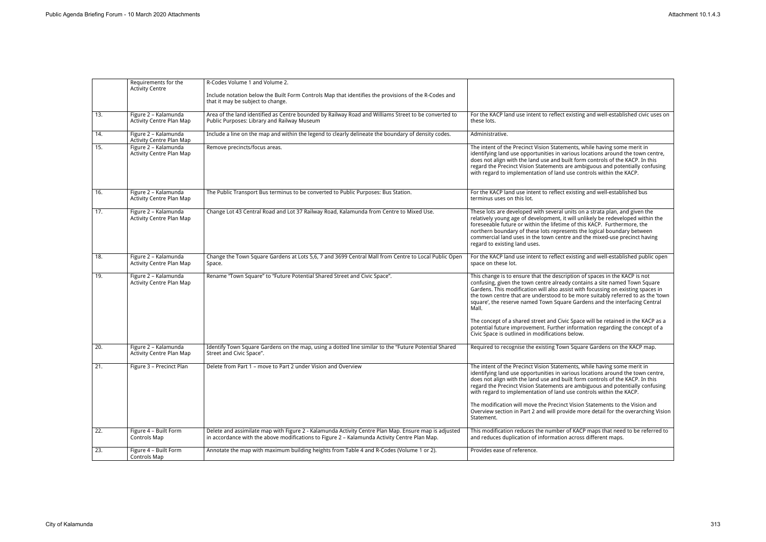|     | Requirements for the<br><b>Activity Centre</b>          | R-Codes Volume 1 and Volume 2.<br>Include notation below the Built Form Controls Map that identifies the provisions of the R-Codes and<br>that it may be subject to change.                          |                                                                                                                                                                                                                                                                                                                                                                                                                                                                                     |
|-----|---------------------------------------------------------|------------------------------------------------------------------------------------------------------------------------------------------------------------------------------------------------------|-------------------------------------------------------------------------------------------------------------------------------------------------------------------------------------------------------------------------------------------------------------------------------------------------------------------------------------------------------------------------------------------------------------------------------------------------------------------------------------|
| 13. | Figure 2 - Kalamunda<br><b>Activity Centre Plan Map</b> | Area of the land identified as Centre bounded by Railway Road and Williams Street to be converted to<br>Public Purposes: Library and Railway Museum                                                  | For the KACP land use intent to reflect existing and well-established civic uses on<br>these lots.                                                                                                                                                                                                                                                                                                                                                                                  |
| 14. | Figure 2 - Kalamunda<br><b>Activity Centre Plan Map</b> | Include a line on the map and within the legend to clearly delineate the boundary of density codes.                                                                                                  | Administrative.                                                                                                                                                                                                                                                                                                                                                                                                                                                                     |
| 15. | Figure 2 - Kalamunda<br><b>Activity Centre Plan Map</b> | Remove precincts/focus areas.                                                                                                                                                                        | The intent of the Precinct Vision Statements, while having some merit in<br>identifying land use opportunities in various locations around the town centre,<br>does not align with the land use and built form controls of the KACP. In this<br>regard the Precinct Vision Statements are ambiguous and potentially confusing<br>with regard to implementation of land use controls within the KACP.                                                                                |
| 16. | Figure 2 - Kalamunda<br><b>Activity Centre Plan Map</b> | The Public Transport Bus terminus to be converted to Public Purposes: Bus Station.                                                                                                                   | For the KACP land use intent to reflect existing and well-established bus<br>terminus uses on this lot.                                                                                                                                                                                                                                                                                                                                                                             |
| 17. | Figure 2 - Kalamunda<br><b>Activity Centre Plan Map</b> | Change Lot 43 Central Road and Lot 37 Railway Road, Kalamunda from Centre to Mixed Use.                                                                                                              | These lots are developed with several units on a strata plan, and given the<br>relatively young age of development, it will unlikely be redeveloped within the<br>foreseeable future or within the lifetime of this KACP. Furthermore, the<br>northern boundary of these lots represents the logical boundary between<br>commercial land uses in the town centre and the mixed-use precinct having<br>regard to existing land uses.                                                 |
| 18. | Figure 2 - Kalamunda<br><b>Activity Centre Plan Map</b> | Change the Town Square Gardens at Lots 5,6, 7 and 3699 Central Mall from Centre to Local Public Open<br>Space.                                                                                       | For the KACP land use intent to reflect existing and well-established public open<br>space on these lot.                                                                                                                                                                                                                                                                                                                                                                            |
| 19. | Figure 2 - Kalamunda<br><b>Activity Centre Plan Map</b> | Rename "Town Square" to "Future Potential Shared Street and Civic Space".                                                                                                                            | This change is to ensure that the description of spaces in the KACP is not<br>confusing, given the town centre already contains a site named Town Square<br>Gardens. This modification will also assist with focussing on existing spaces in<br>the town centre that are understood to be more suitably referred to as the 'town<br>square', the reserve named Town Square Gardens and the interfacing Central<br>Mall.                                                             |
|     |                                                         |                                                                                                                                                                                                      | The concept of a shared street and Civic Space will be retained in the KACP as a<br>potential future improvement. Further information regarding the concept of a<br>Civic Space is outlined in modifications below.                                                                                                                                                                                                                                                                 |
| 20. | Figure 2 - Kalamunda<br><b>Activity Centre Plan Map</b> | Identify Town Square Gardens on the map, using a dotted line similar to the "Future Potential Shared<br>Street and Civic Space".                                                                     | Required to recognise the existing Town Square Gardens on the KACP map.                                                                                                                                                                                                                                                                                                                                                                                                             |
| 21. | Figure 3 - Precinct Plan                                | Delete from Part 1 - move to Part 2 under Vision and Overview                                                                                                                                        | The intent of the Precinct Vision Statements, while having some merit in<br>identifying land use opportunities in various locations around the town centre,<br>does not align with the land use and built form controls of the KACP. In this<br>regard the Precinct Vision Statements are ambiguous and potentially confusing<br>with regard to implementation of land use controls within the KACP.<br>The modification will move the Precinct Vision Statements to the Vision and |
|     |                                                         |                                                                                                                                                                                                      | Overview section in Part 2 and will provide more detail for the overarching Vision<br>Statement.                                                                                                                                                                                                                                                                                                                                                                                    |
| 22. | Figure 4 - Built Form<br>Controls Map                   | Delete and assimilate map with Figure 2 - Kalamunda Activity Centre Plan Map. Ensure map is adjusted<br>in accordance with the above modifications to Figure 2 - Kalamunda Activity Centre Plan Map. | This modification reduces the number of KACP maps that need to be referred to<br>and reduces duplication of information across different maps.                                                                                                                                                                                                                                                                                                                                      |
| 23. | Figure 4 - Built Form<br>Controls Map                   | Annotate the map with maximum building heights from Table 4 and R-Codes (Volume 1 or 2).                                                                                                             | Provides ease of reference.                                                                                                                                                                                                                                                                                                                                                                                                                                                         |

| sting and well-established civic uses on                                       |
|--------------------------------------------------------------------------------|
|                                                                                |
|                                                                                |
|                                                                                |
| ts, while having some merit in                                                 |
| us locations around the town centre,                                           |
| form controls of the KACP. In this                                             |
| ambiguous and potentially confusing                                            |
| controls within the KACP.                                                      |
|                                                                                |
|                                                                                |
| sting and well-established bus                                                 |
|                                                                                |
| s on a strata plan, and given the                                              |
| I unlikely be redeveloped within the                                           |
| f this KACP. Furthermore, the                                                  |
| s the logical boundary between                                                 |
| ind the mixed-use precinct having                                              |
|                                                                                |
| sting and well-established public open                                         |
|                                                                                |
|                                                                                |
| on of spaces in the KACP is not                                                |
| ontains a site named Town Square                                               |
| with focussing on existing spaces in<br>more suitably referred to as the 'town |
| Gardens and the interfacing Central                                            |
|                                                                                |
|                                                                                |
| oace will be retained in the KACP as a                                         |
| ormation regarding the concept of a                                            |
| low.                                                                           |
| quare Gardens on the KACP map.                                                 |
|                                                                                |
|                                                                                |
| ts, while having some merit in                                                 |
| us locations around the town centre,<br>form controls of the KACP. In this     |
| ambiguous and potentially confusing                                            |
| controls within the KACP.                                                      |
|                                                                                |
| sion Statements to the Vision and                                              |
| more detail for the overarching Vision                                         |
|                                                                                |
| <b>ACP</b> maps that need to be referred to                                    |
| ross different maps.                                                           |
|                                                                                |
|                                                                                |
|                                                                                |
|                                                                                |
|                                                                                |
|                                                                                |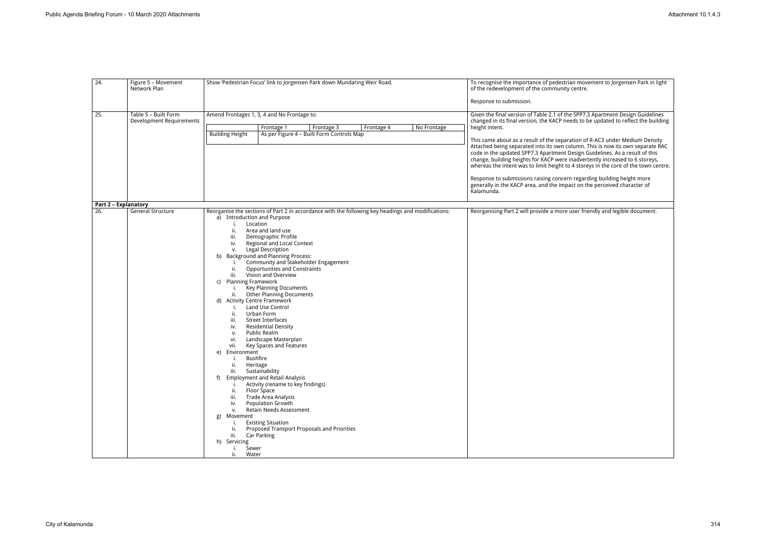| 24.                         | Figure 5 - Movement<br>Network Plan              | Show 'Pedestrian Focus' link to Jorgensen Park down Mundaring Weir Road.                                                                                                                                                                                                                                                                                                                                                                                                                                                                                                                                                                                                                                                                                                                                                                                                                                                                                                                                                                                                                                                                                                                                                                                                                                | To recognise the importance of pedestrian movement to Jorgensen Park in light<br>of the redevelopment of the community centre.<br>Response to submission.                                                                                                                                                                                                                                                                                                                                                                                                                                                                                                                                                                                                                         |
|-----------------------------|--------------------------------------------------|---------------------------------------------------------------------------------------------------------------------------------------------------------------------------------------------------------------------------------------------------------------------------------------------------------------------------------------------------------------------------------------------------------------------------------------------------------------------------------------------------------------------------------------------------------------------------------------------------------------------------------------------------------------------------------------------------------------------------------------------------------------------------------------------------------------------------------------------------------------------------------------------------------------------------------------------------------------------------------------------------------------------------------------------------------------------------------------------------------------------------------------------------------------------------------------------------------------------------------------------------------------------------------------------------------|-----------------------------------------------------------------------------------------------------------------------------------------------------------------------------------------------------------------------------------------------------------------------------------------------------------------------------------------------------------------------------------------------------------------------------------------------------------------------------------------------------------------------------------------------------------------------------------------------------------------------------------------------------------------------------------------------------------------------------------------------------------------------------------|
| $\overline{25}$ .           | Table 5 - Built Form<br>Development Requirements | Amend Frontages 1, 3, 4 and No Frontage to:<br>No Frontage<br>Frontage 3<br>Frontage 4<br>Frontage 1<br>As per Figure 4 - Built Form Controls Map<br><b>Building Height</b>                                                                                                                                                                                                                                                                                                                                                                                                                                                                                                                                                                                                                                                                                                                                                                                                                                                                                                                                                                                                                                                                                                                             | Given the final version of Table 2.1 of the SPP7.3 Apartment Design Guidelines<br>changed in its final version, the KACP needs to be updated to reflect the building<br>height intent.<br>This came about as a result of the separation of R-AC3 under Medium Density<br>Attached being separated into its own column. This is now its own separate RAC<br>code in the updated SPP7.3 Apartment Design Guidelines. As a result of this<br>change, building heights for KACP were inadvertently increased to 6 storeys,<br>whereas the intent was to limit height to 4 storeys in the core of the town centre.<br>Response to submissions raising concern regarding building height more<br>generally in the KACP area, and the impact on the perceived character of<br>Kalamunda. |
| <b>Part 2 - Explanatory</b> |                                                  |                                                                                                                                                                                                                                                                                                                                                                                                                                                                                                                                                                                                                                                                                                                                                                                                                                                                                                                                                                                                                                                                                                                                                                                                                                                                                                         |                                                                                                                                                                                                                                                                                                                                                                                                                                                                                                                                                                                                                                                                                                                                                                                   |
| 26.                         | <b>General Structure</b>                         | Reorganise the sections of Part 2 in accordance with the following key headings and modifications:<br>a) Introduction and Purpose<br>Location<br>i.<br>ii.<br>Area and land use<br>Demographic Profile<br>iii.<br>Regional and Local Context<br>iv.<br>Legal Description<br>v.<br>b) Background and Planning Process:<br>Community and Stakeholder Engagement<br>i.<br><b>Opportunities and Constraints</b><br>ii.<br>Vision and Overview<br>iii.<br><b>Planning Framework</b><br>C)<br><b>Key Planning Documents</b><br>т.<br><b>Other Planning Documents</b><br>ii.<br>d) Activity Centre Framework<br>Land Use Control<br>i.<br>ii.<br>Urban Form<br><b>Street Interfaces</b><br>iii.<br><b>Residential Density</b><br>iv.<br>Public Realm<br>V.<br>Landscape Masterplan<br>vi.<br>Key Spaces and Features<br>vii.<br>Environment<br>e)<br><b>Bushfire</b><br>i.<br>ii.<br>Heritage<br>Sustainability<br>iii.<br><b>Employment and Retail Analysis</b><br>f)<br>Activity (rename to key findings)<br>ii.<br>Floor Space<br>Trade Area Analysis<br>iii.<br>Population Growth<br>iv.<br>Retain Needs Assessment<br>v.<br>Movement<br>g)<br><b>Existing Situation</b><br>i.<br>Proposed Transport Proposals and Priorities<br>ii.<br>iii.<br>Car Parking<br>h) Servicing<br>Sewer<br>i.<br>ii.<br>Water | Reorganising Part 2 will provide a more user friendly and legible document.                                                                                                                                                                                                                                                                                                                                                                                                                                                                                                                                                                                                                                                                                                       |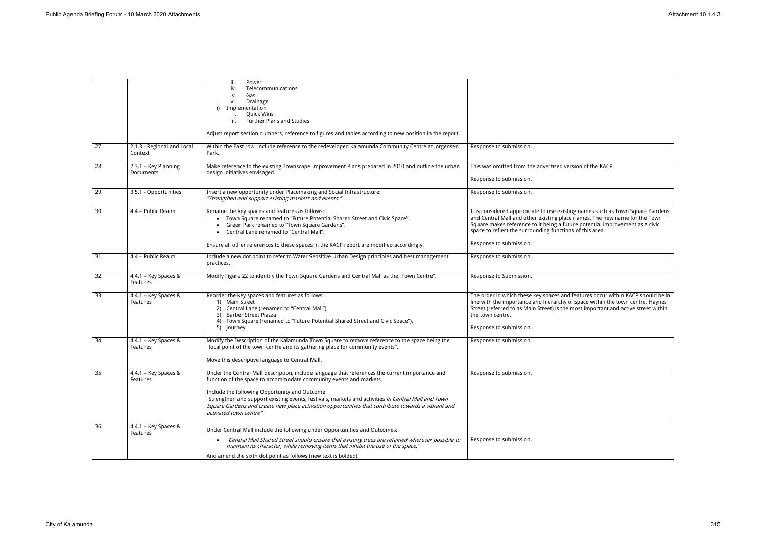|                   |                                         | iii.<br>Power<br>Telecommunications<br>iv.<br>Gas<br>v.<br>vi.<br>Drainage<br>Implementation<br><b>Quick Wins</b><br><b>Further Plans and Studies</b><br>ii.<br>Adjust report section numbers, reference to figures and tables according to new position in the report.                                                                                                                                                                                        |                                                                                                                                                                                                                                                                                                                                     |
|-------------------|-----------------------------------------|----------------------------------------------------------------------------------------------------------------------------------------------------------------------------------------------------------------------------------------------------------------------------------------------------------------------------------------------------------------------------------------------------------------------------------------------------------------|-------------------------------------------------------------------------------------------------------------------------------------------------------------------------------------------------------------------------------------------------------------------------------------------------------------------------------------|
| $\overline{27}$ . | 2.1.3 - Regional and Local<br>Context   | Within the East row, include reference to the redeveloped Kalamunda Community Centre at Jorgensen<br>Park.                                                                                                                                                                                                                                                                                                                                                     | Response to submission.                                                                                                                                                                                                                                                                                                             |
| 28.               | 2.3.1 - Key Planning<br>Documents       | Make reference to the existing Townscape Improvement Plans prepared in 2010 and outline the urban<br>design initiatives envisaged.                                                                                                                                                                                                                                                                                                                             | This was omitted from the advertised version of the KACP.<br>Response to submission.                                                                                                                                                                                                                                                |
| 29.               | 3.5.1 - Opportunities                   | Insert a new opportunity under Placemaking and Social Infrastructure:<br>"Strengthen and support existing markets and events."                                                                                                                                                                                                                                                                                                                                 | Response to submission.                                                                                                                                                                                                                                                                                                             |
| $\overline{30}$ . | 4.4 - Public Realm                      | Rename the key spaces and features as follows:<br>Town Square renamed to "Future Potential Shared Street and Civic Space".<br>Green Park renamed to "Town Square Gardens".<br>Central Lane renamed to "Central Mall".<br>Ensure all other references to these spaces in the KACP report are modified accordingly.                                                                                                                                              | It is considered appropriate to use existing names such as Town Square Gardens<br>and Central Mall and other existing place names. The new name for the Town<br>Square makes reference to it being a future potential improvement as a civic<br>space to reflect the surrounding functions of this area.<br>Response to submission. |
| 31.               | 4.4 - Public Realm                      | Include a new dot point to refer to Water Sensitive Urban Design principles and best management<br>practices.                                                                                                                                                                                                                                                                                                                                                  | Response to submission.                                                                                                                                                                                                                                                                                                             |
| 32.               | 4.4.1 - Key Spaces &<br><b>Features</b> | Modify Figure 22 to identify the Town Square Gardens and Central Mall as the "Town Centre".                                                                                                                                                                                                                                                                                                                                                                    | Response to Submission.                                                                                                                                                                                                                                                                                                             |
| 33.               | 4.4.1 - Key Spaces &<br>Features        | Reorder the key spaces and features as follows:<br>1) Main Street<br>2) Central Lane (renamed to "Central Mall")<br><b>Barber Street Piazza</b><br>3)<br>4) Town Square (renamed to "Future Potential Shared Street and Civic Space").<br>5) Journey                                                                                                                                                                                                           | The order in which these key spaces and features occur within KACP should be in<br>line with the importance and hierarchy of space within the town centre. Haynes<br>Street (referred to as Main Street) is the most important and active street within<br>the town centre.<br>Response to submission.                              |
| 34.               | 4.4.1 - Key Spaces &<br>Features        | Modify the Description of the Kalamunda Town Square to remove reference to the space being the<br>"focal point of the town centre and its gathering place for community events".<br>Move this descriptive language to Central Mall.                                                                                                                                                                                                                            | Response to submission.                                                                                                                                                                                                                                                                                                             |
| 35.               | 4.4.1 - Key Spaces &<br>Features        | Under the Central Mall description, include language that references the current importance and<br>function of the space to accommodate community events and markets.<br>Include the following Opportunity and Outcome:<br>"Strengthen and support existing events, festivals, markets and activities in Central Mall and Town<br>Square Gardens and create new place activation opportunities that contribute towards a vibrant and<br>activated town centre" | Response to submission.                                                                                                                                                                                                                                                                                                             |
| $\overline{36}$ . | 4.4.1 - Key Spaces &<br>Features        | Under Central Mall include the following under Opportunities and Outcomes:<br>"Central Mall Shared Street should ensure that existing trees are retained wherever possible to<br>$\bullet$<br>maintain its character, while removing items that inhibit the use of the space."<br>And amend the sixth dot point as follows (new text is bolded):                                                                                                               | Response to submission.                                                                                                                                                                                                                                                                                                             |

| n of the KACP.                                                                                                          |
|-------------------------------------------------------------------------------------------------------------------------|
|                                                                                                                         |
| names such as Town Square Gardens<br>mes. The new name for the Town<br>potential improvement as a civic<br>f this area. |
|                                                                                                                         |
|                                                                                                                         |
| tures occur within KACP should be in<br>bace within the town centre. Haynes<br>st important and active street within    |
|                                                                                                                         |
|                                                                                                                         |
|                                                                                                                         |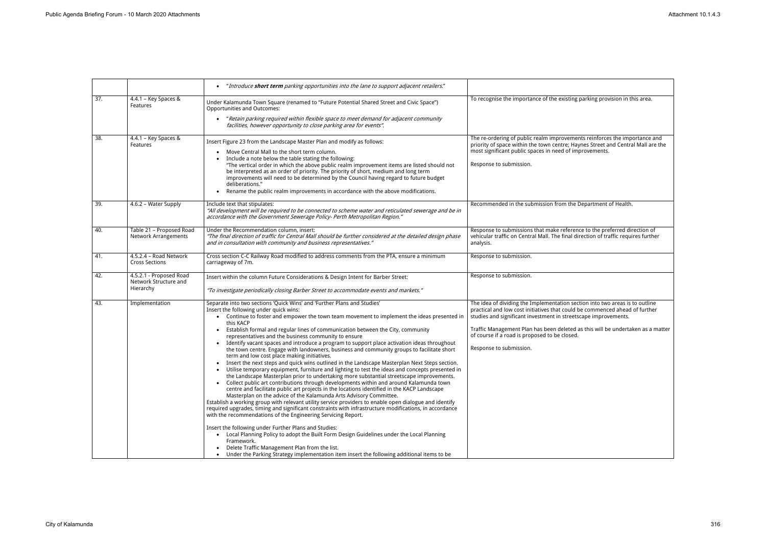|                   |                                                               | "Introduce <b>short term</b> parking opportunities into the lane to support adjacent retailers."                                                                                                                                                                                                                                                                                                                                                                                                                                                                                                                                                                                                                                                                                                                                                                                                                                                                                                                                                                                                                                                                                                                                                                                                                                                                                                                                                                                                                                                                                                                                                                                                                                                                                                                         |                                                                                                                                                                                                                                                                                                                                                                                               |
|-------------------|---------------------------------------------------------------|--------------------------------------------------------------------------------------------------------------------------------------------------------------------------------------------------------------------------------------------------------------------------------------------------------------------------------------------------------------------------------------------------------------------------------------------------------------------------------------------------------------------------------------------------------------------------------------------------------------------------------------------------------------------------------------------------------------------------------------------------------------------------------------------------------------------------------------------------------------------------------------------------------------------------------------------------------------------------------------------------------------------------------------------------------------------------------------------------------------------------------------------------------------------------------------------------------------------------------------------------------------------------------------------------------------------------------------------------------------------------------------------------------------------------------------------------------------------------------------------------------------------------------------------------------------------------------------------------------------------------------------------------------------------------------------------------------------------------------------------------------------------------------------------------------------------------|-----------------------------------------------------------------------------------------------------------------------------------------------------------------------------------------------------------------------------------------------------------------------------------------------------------------------------------------------------------------------------------------------|
| $\overline{37}$ . | $4.4.1 - Key Spaces &$<br>Features                            | Under Kalamunda Town Square (renamed to "Future Potential Shared Street and Civic Space")<br><b>Opportunities and Outcomes:</b><br>"Retain parking required within flexible space to meet demand for adjacent community<br>facilities, however opportunity to close parking area for events".                                                                                                                                                                                                                                                                                                                                                                                                                                                                                                                                                                                                                                                                                                                                                                                                                                                                                                                                                                                                                                                                                                                                                                                                                                                                                                                                                                                                                                                                                                                            | To recognise the importance of the existing parking provision in this area.                                                                                                                                                                                                                                                                                                                   |
| 38.               | 4.4.1 - Key Spaces &<br>Features                              | Insert Figure 23 from the Landscape Master Plan and modify as follows:<br>Move Central Mall to the short term column.<br>Include a note below the table stating the following:<br>"The vertical order in which the above public realm improvement items are listed should not<br>be interpreted as an order of priority. The priority of short, medium and long term<br>improvements will need to be determined by the Council having regard to future budget<br>deliberations."<br>Rename the public realm improvements in accordance with the above modifications.                                                                                                                                                                                                                                                                                                                                                                                                                                                                                                                                                                                                                                                                                                                                                                                                                                                                                                                                                                                                                                                                                                                                                                                                                                                     | The re-ordering of public realm improvements reinforces the importance and<br>priority of space within the town centre; Haynes Street and Central Mall are the<br>most significant public spaces in need of improvements.<br>Response to submission.                                                                                                                                          |
| $\overline{39}$ . | 4.6.2 - Water Supply                                          | Include text that stipulates:<br>"All development will be required to be connected to scheme water and reticulated sewerage and be in<br>accordance with the Government Sewerage Policy- Perth Metropolitan Region."                                                                                                                                                                                                                                                                                                                                                                                                                                                                                                                                                                                                                                                                                                                                                                                                                                                                                                                                                                                                                                                                                                                                                                                                                                                                                                                                                                                                                                                                                                                                                                                                     | Recommended in the submission from the Department of Health.                                                                                                                                                                                                                                                                                                                                  |
| 40.               | Table 21 - Proposed Road<br><b>Network Arrangements</b>       | Under the Recommendation column, insert:<br>"The final direction of traffic for Central Mall should be further considered at the detailed design phase<br>and in consultation with community and business representatives.'                                                                                                                                                                                                                                                                                                                                                                                                                                                                                                                                                                                                                                                                                                                                                                                                                                                                                                                                                                                                                                                                                                                                                                                                                                                                                                                                                                                                                                                                                                                                                                                              | Response to submissions that make reference to the preferred direction of<br>vehicular traffic on Central Mall. The final direction of traffic requires further<br>analysis.                                                                                                                                                                                                                  |
| 41.               | 4.5.2.4 - Road Network<br><b>Cross Sections</b>               | Cross section C-C Railway Road modified to address comments from the PTA, ensure a minimum<br>carriageway of 7m.                                                                                                                                                                                                                                                                                                                                                                                                                                                                                                                                                                                                                                                                                                                                                                                                                                                                                                                                                                                                                                                                                                                                                                                                                                                                                                                                                                                                                                                                                                                                                                                                                                                                                                         | Response to submission.                                                                                                                                                                                                                                                                                                                                                                       |
| 42.               | 4.5.2.1 - Proposed Road<br>Network Structure and<br>Hierarchy | Insert within the column Future Considerations & Design Intent for Barber Street:<br>"To investigate periodically closing Barber Street to accommodate events and markets."                                                                                                                                                                                                                                                                                                                                                                                                                                                                                                                                                                                                                                                                                                                                                                                                                                                                                                                                                                                                                                                                                                                                                                                                                                                                                                                                                                                                                                                                                                                                                                                                                                              | Response to submission.                                                                                                                                                                                                                                                                                                                                                                       |
| 43.               | Implementation                                                | Separate into two sections 'Quick Wins' and 'Further Plans and Studies'<br>Insert the following under quick wins:<br>Continue to foster and empower the town team movement to implement the ideas presented in<br>this KACP<br>Establish formal and regular lines of communication between the City, community<br>$\bullet$<br>representatives and the business community to ensure<br>Identify vacant spaces and introduce a program to support place activation ideas throughout<br>$\bullet$<br>the town centre. Engage with landowners, business and community groups to facilitate short<br>term and low cost place making initiatives.<br>• Insert the next steps and quick wins outlined in the Landscape Masterplan Next Steps section.<br>Utilise temporary equipment, furniture and lighting to test the ideas and concepts presented in<br>the Landscape Masterplan prior to undertaking more substantial streetscape improvements.<br>• Collect public art contributions through developments within and around Kalamunda town<br>centre and facilitate public art projects in the locations identified in the KACP Landscape<br>Masterplan on the advice of the Kalamunda Arts Advisory Committee.<br>Establish a working group with relevant utility service providers to enable open dialogue and identify<br>required upgrades, timing and significant constraints with infrastructure modifications, in accordance<br>with the recommendations of the Engineering Servicing Report.<br>Insert the following under Further Plans and Studies:<br>• Local Planning Policy to adopt the Built Form Design Guidelines under the Local Planning<br>Framework.<br>Delete Traffic Management Plan from the list.<br>Under the Parking Strategy implementation item insert the following additional items to be | The idea of dividing the Implementation section into two areas is to outline<br>practical and low cost initiatives that could be commenced ahead of further<br>studies and significant investment in streetscape improvements.<br>Traffic Management Plan has been deleted as this will be undertaken as a matter<br>of course if a road is proposed to be closed.<br>Response to submission. |

| parking provision in this area.                                           |
|---------------------------------------------------------------------------|
|                                                                           |
|                                                                           |
| nts reinforces the importance and<br>ynes Street and Central Mall are the |
| provements.                                                               |
|                                                                           |
|                                                                           |
|                                                                           |
| Department of Health.                                                     |
|                                                                           |
| ce to the preferred direction of                                          |
| rection of traffic requires further                                       |
|                                                                           |
|                                                                           |
|                                                                           |
|                                                                           |
| tion into two areas is to outline<br>be commenced ahead of further        |
| cape improvements.                                                        |
| as this will be undertaken as a matter                                    |
|                                                                           |
|                                                                           |
|                                                                           |
|                                                                           |
|                                                                           |
|                                                                           |
|                                                                           |
|                                                                           |
|                                                                           |
|                                                                           |